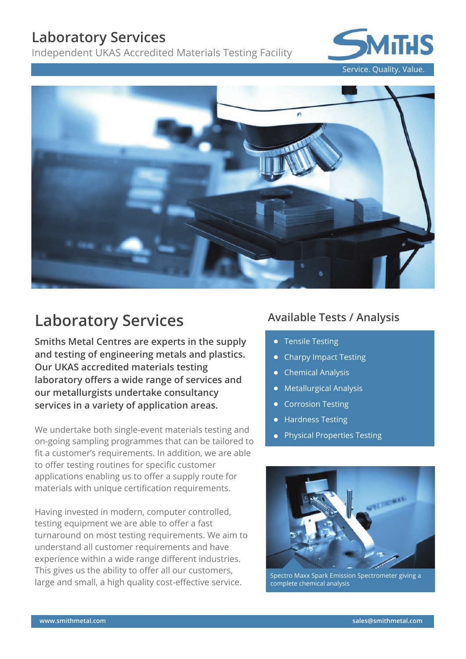### **Laboratory Services**

Independent UKAS Accredited Materials Testing Facility



Service. Quality. Value.



# **Laboratory Services**

**Smiths Metal Centres are experts in the supply and testing of engineering metals and plastics. Our UKAS accredited materials testing laboratory offers a wide range of services and our metallurgists undertake consultancy services in a variety of application areas.**

We undertake both single-event materials testing and on-going sampling programmes that can be tailored to fit a customer's requirements. In addition, we are able to offer testing routines for specific customer applications enabling us to offer a supply route for materials with unique certification requirements.

Having invested in modern, computer controlled, testing equipment we are able to offer a fast turnaround on most testing requirements. We aim to understand all customer requirements and have experience within a wide range different industries. This gives us the ability to offer all our customers, large and small, a high quality cost-effective service.

### **Available Tests / Analysis**

- **•** Tensile Testing
- Charpy Impact Testing
- Chemical Analysis
- **•** Metallurgical Analysis
- Corrosion Testing
- Hardness Testing
- **•** Physical Properties Testing



Spectro Maxx Spark Emission Spectrometer giving a complete chemical analysis